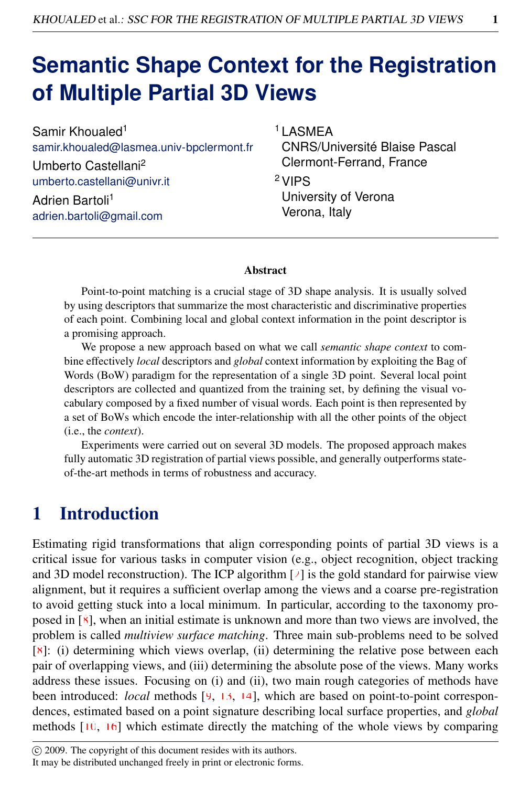# **Semantic Shape Context for the Registration of Multiple Partial 3D Views**

Samir Khoualed<sup>1</sup> samir.khoualed@lasmea.univ-bpclermont.fr Umberto Castellani<sup>2</sup> umberto.castellani@univr.it

Adrien Bartoli<sup>1</sup> adrien.bartoli@gmail.com <sup>1</sup> LASMEA CNRS/Université Blaise Pascal Clermont-Ferrand, France

<sup>2</sup>VIPS University of Verona Verona, Italy

#### Abstract

Point-to-point matching is a crucial stage of 3D shape analysis. It is usually solved by using descriptors that summarize the most characteristic and discriminative properties of each point. Combining local and global context information in the point descriptor is a promising approach.

We propose a new approach based on what we call *semantic shape context* to combine effectively *local* descriptors and *global* context information by exploiting the Bag of Words (BoW) paradigm for the representation of a single 3D point. Several local point descriptors are collected and quantized from the training set, by defining the visual vocabulary composed by a fixed number of visual words. Each point is then represented by a set of BoWs which encode the inter-relationship with all the other points of the object (i.e., the *context*).

Experiments were carried out on several 3D models. The proposed approach makes fully automatic 3D registration of partial views possible, and generally outperforms stateof-the-art methods in terms of robustness and accuracy.

### 1 Introduction

Estimating rigid transformations that align corresponding points of partial 3D views is a critical issue for various tasks in computer vision (e.g., object recognition, object tracking and 3D model reconstruction). The ICP algorithm  $\lceil \frac{1}{2} \rceil$  is the gold standard for pairwise view alignment, but it requires a sufficient overlap among the views and a coarse pre-registration to avoid getting stuck into a local minimum. In particular, according to the taxonomy proposed in [8], when an initial estimate is unknown and more than two views are involved, the problem is called *multiview surface matching*. Three main sub-problems need to be solved  $[8]$ : (i) determining which views overlap, (ii) determining the relative pose between each pair of overlapping views, and (iii) determining the absolute pose of the views. Many works address these issues. Focusing on (i) and (ii), two main rough categories of methods have been introduced: *local* methods [9, 13, 14], which are based on point-to-point correspondences, estimated based on a point signature describing local surface properties, and *global* methods  $[10, 16]$  which estimate directly the matching of the whole views by comparing

c 2009. The copyright of this document resides with its authors.

It may be distributed unchanged freely in print or electronic forms.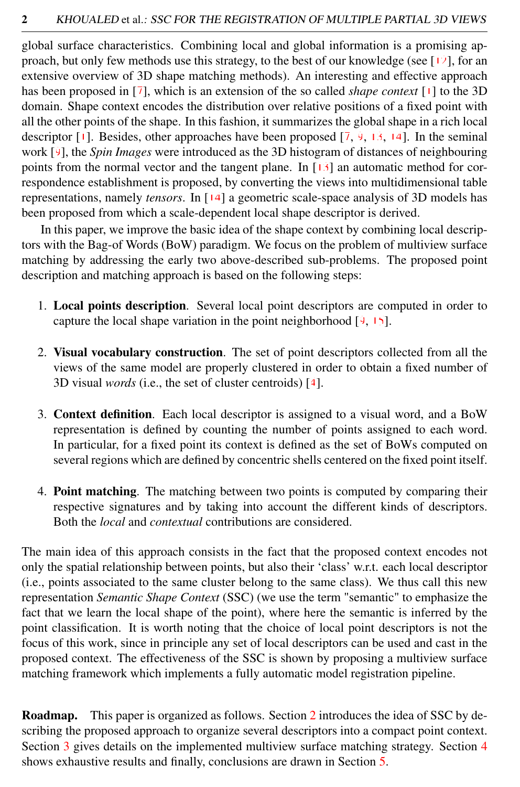global surface characteristics. Combining local and global information is a promising approach, but only few methods use this strategy, to the best of our knowledge (see [12], for an extensive overview of 3D shape matching methods). An interesting and effective approach has been proposed in [7], which is an extension of the so called *shape context* [1] to the 3D domain. Shape context encodes the distribution over relative positions of a fixed point with all the other points of the shape. In this fashion, it summarizes the global shape in a rich local descriptor  $[1]$ . Besides, other approaches have been proposed  $[7, 9, 13, 14]$ . In the seminal work [9], the *Spin Images* were introduced as the 3D histogram of distances of neighbouring points from the normal vector and the tangent plane. In [13] an automatic method for correspondence establishment is proposed, by converting the views into multidimensional table representations, namely *tensors*. In [14] a geometric scale-space analysis of 3D models has been proposed from which a scale-dependent local shape descriptor is derived.

In this paper, we improve the basic idea of the shape context by combining local descriptors with the Bag-of Words (BoW) paradigm. We focus on the problem of multiview surface matching by addressing the early two above-described sub-problems. The proposed point description and matching approach is based on the following steps:

- 1. Local points description. Several local point descriptors are computed in order to capture the local shape variation in the point neighborhood  $[9, 15]$ .
- 2. Visual vocabulary construction. The set of point descriptors collected from all the views of the same model are properly clustered in order to obtain a fixed number of 3D visual *words* (i.e., the set of cluster centroids) [4].
- 3. Context definition. Each local descriptor is assigned to a visual word, and a BoW representation is defined by counting the number of points assigned to each word. In particular, for a fixed point its context is defined as the set of BoWs computed on several regions which are defined by concentric shells centered on the fixed point itself.
- 4. Point matching. The matching between two points is computed by comparing their respective signatures and by taking into account the different kinds of descriptors. Both the *local* and *contextual* contributions are considered.

The main idea of this approach consists in the fact that the proposed context encodes not only the spatial relationship between points, but also their 'class' w.r.t. each local descriptor (i.e., points associated to the same cluster belong to the same class). We thus call this new representation *Semantic Shape Context* (SSC) (we use the term "semantic" to emphasize the fact that we learn the local shape of the point), where here the semantic is inferred by the point classification. It is worth noting that the choice of local point descriptors is not the focus of this work, since in principle any set of local descriptors can be used and cast in the proposed context. The effectiveness of the SSC is shown by proposing a multiview surface matching framework which implements a fully automatic model registration pipeline.

**Roadmap.** This paper is organized as follows. Section [2](#page-2-0) introduces the idea of SSC by describing the proposed approach to organize several descriptors into a compact point context. Section [3](#page-5-0) gives details on the implemented multiview surface matching strategy. Section [4](#page-5-1) shows exhaustive results and finally, conclusions are drawn in Section [5.](#page-7-0)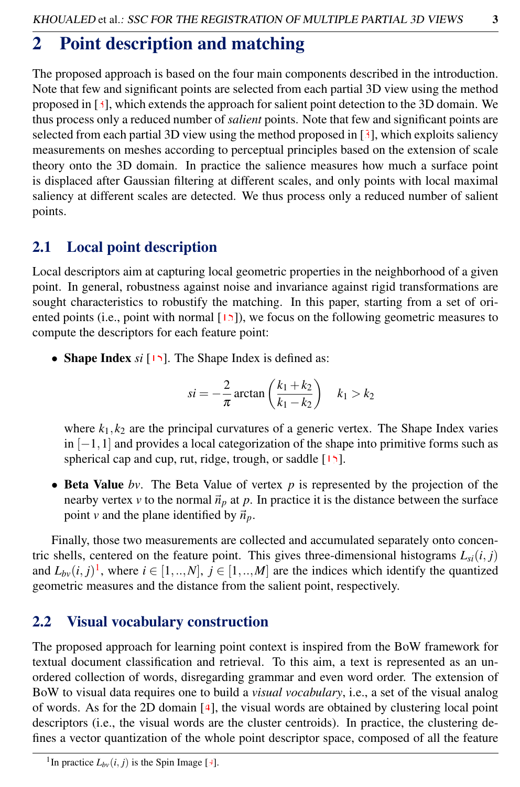## <span id="page-2-0"></span>2 Point description and matching

The proposed approach is based on the four main components described in the introduction. Note that few and significant points are selected from each partial 3D view using the method proposed in  $\lceil 3 \rceil$ , which extends the approach for salient point detection to the 3D domain. We thus process only a reduced number of *salient* points. Note that few and significant points are selected from each partial 3D view using the method proposed in  $[3]$ , which exploits saliency measurements on meshes according to perceptual principles based on the extension of scale theory onto the 3D domain. In practice the salience measures how much a surface point is displaced after Gaussian filtering at different scales, and only points with local maximal saliency at different scales are detected. We thus process only a reduced number of salient points.

#### 2.1 Local point description

Local descriptors aim at capturing local geometric properties in the neighborhood of a given point. In general, robustness against noise and invariance against rigid transformations are sought characteristics to robustify the matching. In this paper, starting from a set of oriented points (i.e., point with normal  $[15]$ ), we focus on the following geometric measures to compute the descriptors for each feature point:

• **Shape Index** *si* [15]. The Shape Index is defined as:

$$
si = -\frac{2}{\pi} \arctan\left(\frac{k_1 + k_2}{k_1 - k_2}\right) \quad k_1 > k_2
$$

where  $k_1, k_2$  are the principal curvatures of a generic vertex. The Shape Index varies  $\ln$  [−1,1] and provides a local categorization of the shape into primitive forms such as spherical cap and cup, rut, ridge, trough, or saddle [15].

• Beta Value *bv*. The Beta Value of vertex *p* is represented by the projection of the nearby vertex *v* to the normal  $\vec{n}_p$  at *p*. In practice it is the distance between the surface point *v* and the plane identified by  $\vec{n}_p$ .

Finally, those two measurements are collected and accumulated separately onto concentric shells, centered on the feature point. This gives three-dimensional histograms  $L_{si}(i, j)$ and  $L_{bv}(i, j)^1$  $L_{bv}(i, j)^1$ , where  $i \in [1, ..., N]$ ,  $j \in [1, ..., M]$  are the indices which identify the quantized geometric measures and the distance from the salient point, respectively.

### 2.2 Visual vocabulary construction

The proposed approach for learning point context is inspired from the BoW framework for textual document classification and retrieval. To this aim, a text is represented as an unordered collection of words, disregarding grammar and even word order. The extension of BoW to visual data requires one to build a *visual vocabulary*, i.e., a set of the visual analog of words. As for the 2D domain  $[4]$ , the visual words are obtained by clustering local point descriptors (i.e., the visual words are the cluster centroids). In practice, the clustering defines a vector quantization of the whole point descriptor space, composed of all the feature

<span id="page-2-1"></span><sup>&</sup>lt;sup>1</sup>In practice  $L_{bv}(i, j)$  is the Spin Image [9].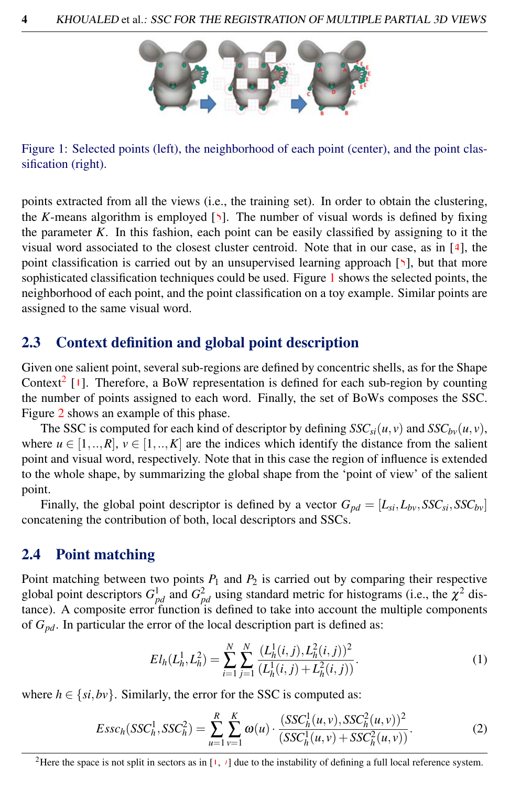

<span id="page-3-0"></span>Figure 1: Selected points (left), the neighborhood of each point (center), and the point classification (right).

points extracted from all the views (i.e., the training set). In order to obtain the clustering, the *K*-means algorithm is employed [5]. The number of visual words is defined by fixing the parameter  $K$ . In this fashion, each point can be easily classified by assigning to it the visual word associated to the closest cluster centroid. Note that in our case, as in [4], the point classification is carried out by an unsupervised learning approach [5], but that more sophisticated classification techniques could be used. Figure [1](#page-3-0) shows the selected points, the neighborhood of each point, and the point classification on a toy example. Similar points are assigned to the same visual word.

#### 2.3 Context definition and global point description

Given one salient point, several sub-regions are defined by concentric shells, as for the Shape Context<sup>[2](#page-3-1)</sup> [1]. Therefore, a BoW representation is defined for each sub-region by counting the number of points assigned to each word. Finally, the set of BoWs composes the SSC. Figure [2](#page-4-0) shows an example of this phase.

The SSC is computed for each kind of descriptor by defining  $SSC_{si}(u, v)$  and  $SSC_{bv}(u, v)$ , where  $u \in [1, ..., R]$ ,  $v \in [1, ..., K]$  are the indices which identify the distance from the salient point and visual word, respectively. Note that in this case the region of influence is extended to the whole shape, by summarizing the global shape from the 'point of view' of the salient point.

Finally, the global point descriptor is defined by a vector  $G_{pd} = [L_{si}, L_{bv}, SSC_{si}, SSC_{bv}]$ concatening the contribution of both, local descriptors and SSCs.

#### 2.4 Point matching

Point matching between two points  $P_1$  and  $P_2$  is carried out by comparing their respective global point descriptors  $G_{pd}^1$  and  $G_{pd}^2$  using standard metric for histograms (i.e., the  $\chi^2$  distance). A composite error function is defined to take into account the multiple components of *Gpd*. In particular the error of the local description part is defined as:

<span id="page-3-2"></span>
$$
EI_h(L_h^1, L_h^2) = \sum_{i=1}^N \sum_{j=1}^N \frac{(L_h^1(i, j), L_h^2(i, j))^2}{(L_h^1(i, j) + L_h^2(i, j))}.
$$
 (1)

where  $h \in \{si, bv\}$ . Similarly, the error for the SSC is computed as:

$$
Essc_h(SSC_h^1, SSC_h^2) = \sum_{u=1}^R \sum_{v=1}^K \omega(u) \cdot \frac{(SSC_h^1(u, v), SSC_h^2(u, v))^2}{(SSC_h^1(u, v) + SSC_h^2(u, v))}.
$$
 (2)

<span id="page-3-1"></span><sup>2</sup>Here the space is not split in sectors as in  $\left[1, 7\right]$  due to the instability of defining a full local reference system.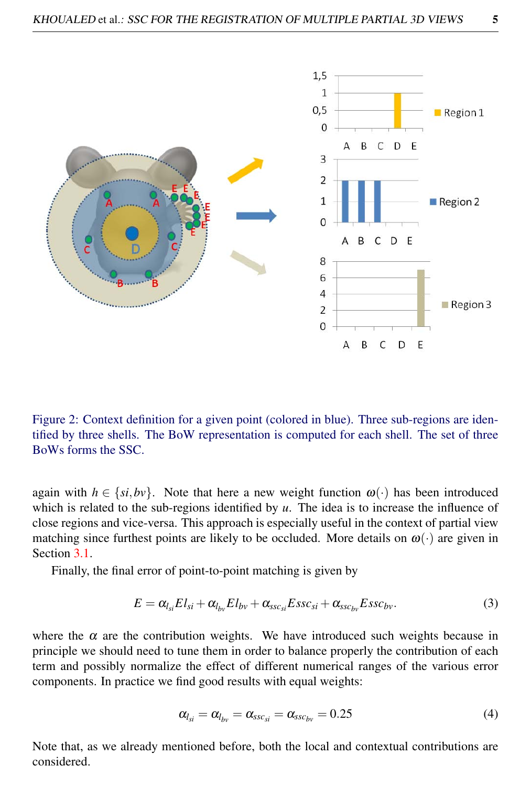

<span id="page-4-0"></span>Figure 2: Context definition for a given point (colored in blue). Three sub-regions are identified by three shells. The BoW representation is computed for each shell. The set of three BoWs forms the SSC.

again with  $h \in \{si, bv\}$ . Note that here a new weight function  $\omega(\cdot)$  has been introduced which is related to the sub-regions identified by  $u$ . The idea is to increase the influence of close regions and vice-versa. This approach is especially useful in the context of partial view matching since furthest points are likely to be occluded. More details on  $\omega(\cdot)$  are given in Section [3.1.](#page-5-2)

Finally, the final error of point-to-point matching is given by

<span id="page-4-1"></span>
$$
E = \alpha_{l_{si}} E l_{si} + \alpha_{l_{bv}} E l_{bv} + \alpha_{ssc_{si}} E s s c_{si} + \alpha_{ssc_{bv}} E s s c_{bv}.
$$
\n(3)

where the  $\alpha$  are the contribution weights. We have introduced such weights because in principle we should need to tune them in order to balance properly the contribution of each term and possibly normalize the effect of different numerical ranges of the various error components. In practice we find good results with equal weights:

<span id="page-4-2"></span>
$$
\alpha_{l_{si}} = \alpha_{l_{bv}} = \alpha_{ssc_{si}} = \alpha_{ssc_{bv}} = 0.25 \tag{4}
$$

Note that, as we already mentioned before, both the local and contextual contributions are considered.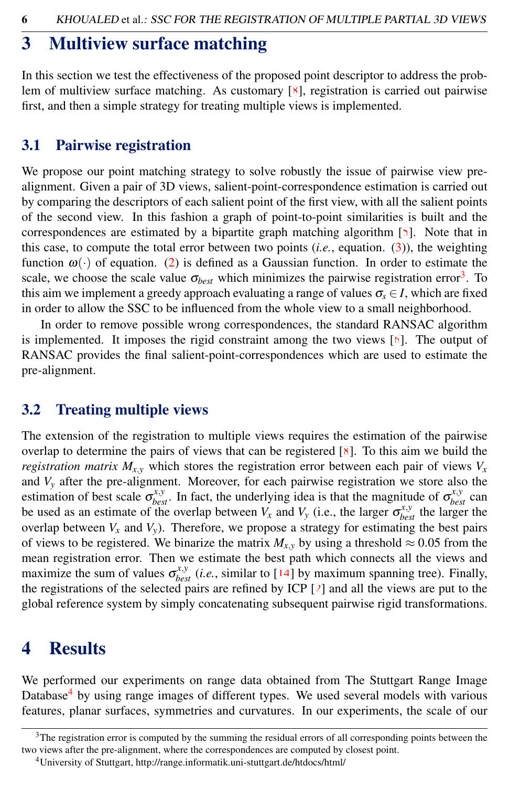### <span id="page-5-0"></span>3 Multiview surface matching

In this section we test the effectiveness of the proposed point descriptor to address the problem of multiview surface matching. As customary [8], registration is carried out pairwise first, and then a simple strategy for treating multiple views is implemented.

#### <span id="page-5-2"></span>3.1 Pairwise registration

We propose our point matching strategy to solve robustly the issue of pairwise view prealignment. Given a pair of 3D views, salient-point-correspondence estimation is carried out by comparing the descriptors of each salient point of the first view, with all the salient points of the second view. In this fashion a graph of point-to-point similarities is built and the correspondences are estimated by a bipartite graph matching algorithm  $[5]$ . Note that in this case, to compute the total error between two points (*i.e.*, equation. [\(3\)](#page-4-1)), the weighting function  $\omega(\cdot)$  of equation. [\(2\)](#page-3-2) is defined as a Gaussian function. In order to estimate the scale, we choose the scale value  $\sigma_{best}$  which minimizes the pairwise registration error<sup>[3](#page-5-3)</sup>. To this aim we implement a greedy approach evaluating a range of values  $\sigma_s \in I$ , which are fixed in order to allow the SSC to be influenced from the whole view to a small neighborhood.

In order to remove possible wrong correspondences, the standard RANSAC algorithm is implemented. It imposes the rigid constraint among the two views [6]. The output of RANSAC provides the final salient-point-correspondences which are used to estimate the pre-alignment.

#### 3.2 Treating multiple views

The extension of the registration to multiple views requires the estimation of the pairwise overlap to determine the pairs of views that can be registered  $[8]$ . To this aim we build the *registration matrix*  $M_{x,y}$  which stores the registration error between each pair of views  $V_x$ and *V<sup>y</sup>* after the pre-alignment. Moreover, for each pairwise registration we store also the estimation of best scale  $\sigma_{best}^{x,y}$ . In fact, the underlying idea is that the magnitude of  $\sigma_{best}^{x,y}$  can be used as an estimate of the overlap between  $V_x$  and  $V_y$  (i.e., the larger  $\sigma_{best}^{x,y}$  the larger the overlap between  $V_x$  and  $V_y$ ). Therefore, we propose a strategy for estimating the best pairs of views to be registered. We binarize the matrix  $M_{x,y}$  by using a threshold  $\approx 0.05$  from the mean registration error. Then we estimate the best path which connects all the views and maximize the sum of values  $\sigma_{best}^{x,y}$  (*i.e.*, similar to [14] by maximum spanning tree). Finally, the registrations of the selected pairs are refined by ICP  $[2]$  and all the views are put to the global reference system by simply concatenating subsequent pairwise rigid transformations.

### <span id="page-5-1"></span>4 Results

We performed our experiments on range data obtained from The Stuttgart Range Image Database<sup>[4](#page-5-4)</sup> by using range images of different types. We used several models with various features, planar surfaces, symmetries and curvatures. In our experiments, the scale of our

<span id="page-5-3"></span><sup>&</sup>lt;sup>3</sup>The registration error is computed by the summing the residual errors of all corresponding points between the two views after the pre-alignment, where the correspondences are computed by closest point.

<span id="page-5-4"></span><sup>4</sup>University of Stuttgart, http://range.informatik.uni-stuttgart.de/htdocs/html/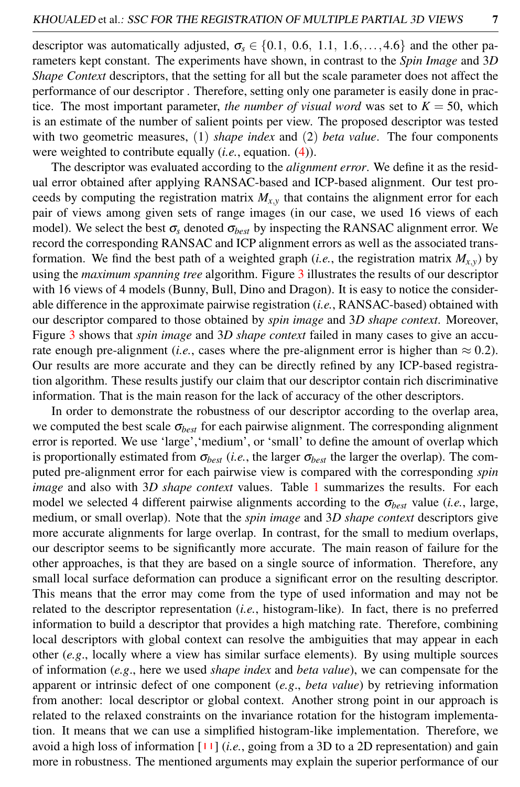descriptor was automatically adjusted,  $\sigma_s \in \{0.1, 0.6, 1.1, 1.6, \ldots, 4.6\}$  and the other parameters kept constant. The experiments have shown, in contrast to the *Spin Image* and 3*D Shape Context* descriptors, that the setting for all but the scale parameter does not affect the performance of our descriptor . Therefore, setting only one parameter is easily done in practice. The most important parameter, *the number of visual word* was set to  $K = 50$ , which is an estimate of the number of salient points per view. The proposed descriptor was tested with two geometric measures, (1) *shape index* and (2) *beta value*. The four components were weighted to contribute equally (*i.e.*, equation. [\(4\)](#page-4-2)).

The descriptor was evaluated according to the *alignment error*. We define it as the residual error obtained after applying RANSAC-based and ICP-based alignment. Our test proceeds by computing the registration matrix  $M_{x,y}$  that contains the alignment error for each pair of views among given sets of range images (in our case, we used 16 views of each model). We select the best  $\sigma_s$  denoted  $\sigma_{best}$  by inspecting the RANSAC alignment error. We record the corresponding RANSAC and ICP alignment errors as well as the associated transformation. We find the best path of a weighted graph (*i.e.*, the registration matrix  $M_{X,y}$ ) by using the *maximum spanning tree* algorithm. Figure [3](#page-7-1) illustrates the results of our descriptor with 16 views of 4 models (Bunny, Bull, Dino and Dragon). It is easy to notice the considerable difference in the approximate pairwise registration (*i.e.*, RANSAC-based) obtained with our descriptor compared to those obtained by *spin image* and 3*D shape context*. Moreover, Figure [3](#page-7-1) shows that *spin image* and 3*D shape context* failed in many cases to give an accurate enough pre-alignment (*i.e.*, cases where the pre-alignment error is higher than  $\approx 0.2$ ). Our results are more accurate and they can be directly refined by any ICP-based registration algorithm. These results justify our claim that our descriptor contain rich discriminative information. That is the main reason for the lack of accuracy of the other descriptors.

In order to demonstrate the robustness of our descriptor according to the overlap area, we computed the best scale  $\sigma_{best}$  for each pairwise alignment. The corresponding alignment error is reported. We use 'large','medium', or 'small' to define the amount of overlap which is proportionally estimated from  $\sigma_{best}$  (*i.e.*, the larger  $\sigma_{best}$  the larger the overlap). The computed pre-alignment error for each pairwise view is compared with the corresponding *spin image* and also with 3*D shape context* values. Table [1](#page-8-0) summarizes the results. For each model we selected 4 different pairwise alignments according to the  $\sigma_{best}$  value (*i.e.*, large, medium, or small overlap). Note that the *spin image* and 3*D shape context* descriptors give more accurate alignments for large overlap. In contrast, for the small to medium overlaps, our descriptor seems to be significantly more accurate. The main reason of failure for the other approaches, is that they are based on a single source of information. Therefore, any small local surface deformation can produce a significant error on the resulting descriptor. This means that the error may come from the type of used information and may not be related to the descriptor representation (*i.e.*, histogram-like). In fact, there is no preferred information to build a descriptor that provides a high matching rate. Therefore, combining local descriptors with global context can resolve the ambiguities that may appear in each other (*e.g*., locally where a view has similar surface elements). By using multiple sources of information (*e.g*., here we used *shape index* and *beta value*), we can compensate for the apparent or intrinsic defect of one component (*e.g*., *beta value*) by retrieving information from another: local descriptor or global context. Another strong point in our approach is related to the relaxed constraints on the invariance rotation for the histogram implementation. It means that we can use a simplified histogram-like implementation. Therefore, we avoid a high loss of information  $[11]$  (*i.e.*, going from a 3D to a 2D representation) and gain more in robustness. The mentioned arguments may explain the superior performance of our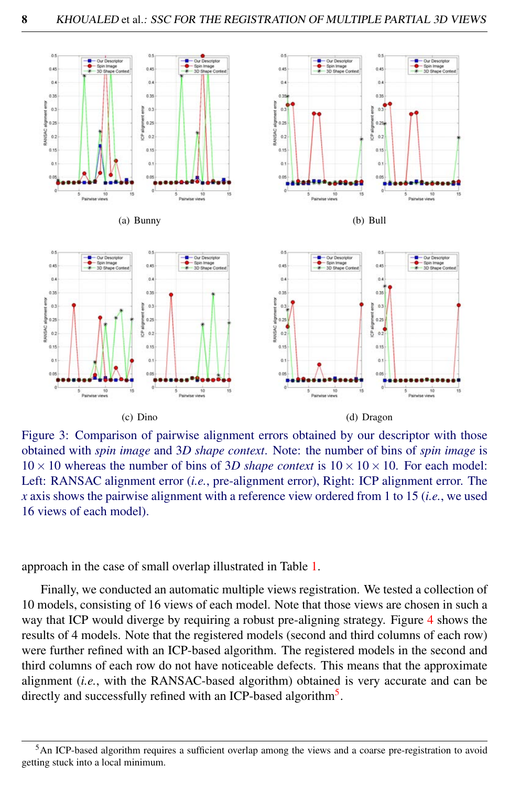

<span id="page-7-1"></span>Figure 3: Comparison of pairwise alignment errors obtained by our descriptor with those obtained with *spin image* and 3*D shape context*. Note: the number of bins of *spin image* is  $10 \times 10$  whereas the number of bins of 3*D shape context* is  $10 \times 10 \times 10$ . For each model: Left: RANSAC alignment error (*i.e.*, pre-alignment error), Right: ICP alignment error. The *x* axis shows the pairwise alignment with a reference view ordered from 1 to 15 (*i.e.*, we used 16 views of each model).

approach in the case of small overlap illustrated in Table [1.](#page-8-0)

Finally, we conducted an automatic multiple views registration. We tested a collection of 10 models, consisting of 16 views of each model. Note that those views are chosen in such a way that ICP would diverge by requiring a robust pre-aligning strategy. Figure [4](#page-9-0) shows the results of 4 models. Note that the registered models (second and third columns of each row) were further refined with an ICP-based algorithm. The registered models in the second and third columns of each row do not have noticeable defects. This means that the approximate alignment (*i.e.*, with the RANSAC-based algorithm) obtained is very accurate and can be directly and successfully refined with an ICP-based algorithm<sup>[5](#page-7-2)</sup>.

<span id="page-7-2"></span><span id="page-7-0"></span><sup>5</sup>An ICP-based algorithm requires a sufficient overlap among the views and a coarse pre-registration to avoid getting stuck into a local minimum.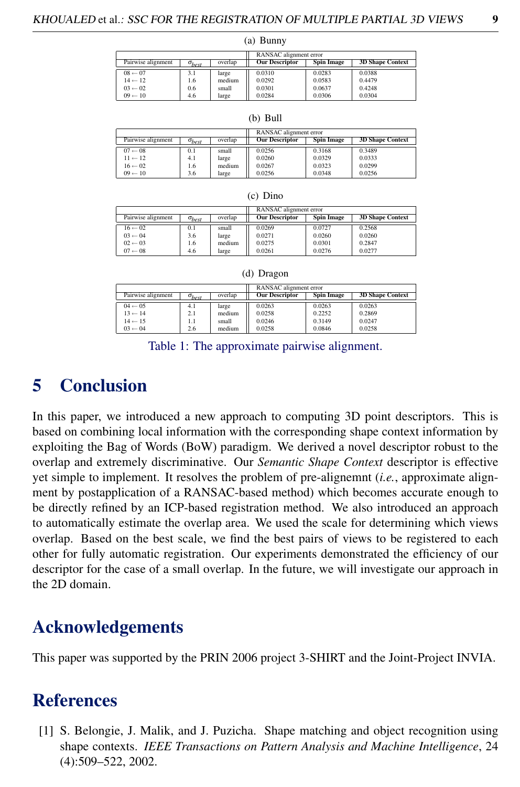(a) Bunny

|                    |                 |         | RANSAC alignment error |                   |                         |
|--------------------|-----------------|---------|------------------------|-------------------|-------------------------|
| Pairwise alignment | $\sigma_{best}$ | overlap | <b>Our Descriptor</b>  | <b>Spin Image</b> | <b>3D Shape Context</b> |
| $08 \leftarrow 07$ | 3.1             | large   | 0.0310                 | 0.0283            | 0.0388                  |
| $14 \leftarrow 12$ | 1.6             | medium  | 0.0292                 | 0.0583            | 0.4479                  |
| $03 \leftarrow 02$ | 0.6             | small   | 0.0301                 | 0.0637            | 0.4248                  |
| $09 - 10$          | 4.6             | large   | 0.0284                 | 0.0306            | 0.0304                  |

|                    |                 |         | RANSAC alignment error |                   |                         |
|--------------------|-----------------|---------|------------------------|-------------------|-------------------------|
| Pairwise alignment | $\sigma_{best}$ | overlap | <b>Our Descriptor</b>  | <b>Spin Image</b> | <b>3D Shape Context</b> |
| $07 \leftarrow 08$ | 0.1             | small   | 0.0256                 | 0.3168            | 0.3489                  |
| $11 \leftarrow 12$ | 4.1             | large   | 0.0260                 | 0.0329            | 0.0333                  |
| $16 \leftarrow 02$ | 1.6             | medium  | 0.0267                 | 0.0323            | 0.0299                  |
| $09 \leftarrow 10$ | 3.6             | large   | 0.0256                 | 0.0348            | 0.0256                  |

| $\mathfrak{c}$ , $\mathfrak{c}$ , $\mathfrak{c}$ |                 |         |                        |                   |                         |
|--------------------------------------------------|-----------------|---------|------------------------|-------------------|-------------------------|
|                                                  |                 |         | RANSAC alignment error |                   |                         |
| Pairwise alignment                               | $\sigma_{best}$ | overlap | <b>Our Descriptor</b>  | <b>Spin Image</b> | <b>3D Shape Context</b> |
| $16 \leftarrow 02$                               | 0.1             | small   | 0.0269                 | 0.0727            | 0.2568                  |
| $03 \leftarrow 04$                               | 3.6             | large   | 0.0271                 | 0.0260            | 0.0260                  |
| $02 \leftarrow 03$                               | 1.6             | medium  | 0.0275                 | 0.0301            | 0.2847                  |
| $07 - 08$                                        | 4.6             | large   | 0.0261                 | 0.0276            | 0.0277                  |

| ,,,,, |
|-------|
|       |

|  | (d) Dragon |
|--|------------|
|--|------------|

|                    |                 |         | RANSAC alignment error |                   |                         |
|--------------------|-----------------|---------|------------------------|-------------------|-------------------------|
| Pairwise alignment | $\sigma_{best}$ | overlap | <b>Our Descriptor</b>  | <b>Spin Image</b> | <b>3D Shape Context</b> |
| $04 \leftarrow 05$ | 4.1             | large   | 0.0263                 | 0.0263            | 0.0263                  |
| $13 \leftarrow 14$ | 2.1             | medium  | 0.0258                 | 0.2252            | 0.2869                  |
| $14 \leftarrow 15$ | 1.1             | small   | 0.0246                 | 0.3149            | 0.0247                  |
| $03 \leftarrow 04$ | 2.6             | medium  | 0.0258                 | 0.0846            | 0.0258                  |

<span id="page-8-0"></span>Table 1: The approximate pairwise alignment.

### 5 Conclusion

In this paper, we introduced a new approach to computing 3D point descriptors. This is based on combining local information with the corresponding shape context information by exploiting the Bag of Words (BoW) paradigm. We derived a novel descriptor robust to the overlap and extremely discriminative. Our *Semantic Shape Context* descriptor is effective yet simple to implement. It resolves the problem of pre-alignemnt (*i.e.*, approximate alignment by postapplication of a RANSAC-based method) which becomes accurate enough to be directly refined by an ICP-based registration method. We also introduced an approach to automatically estimate the overlap area. We used the scale for determining which views overlap. Based on the best scale, we find the best pairs of views to be registered to each other for fully automatic registration. Our experiments demonstrated the efficiency of our descriptor for the case of a small overlap. In the future, we will investigate our approach in the 2D domain.

### Acknowledgements

This paper was supported by the PRIN 2006 project 3-SHIRT and the Joint-Project INVIA.

### **References**

[1] S. Belongie, J. Malik, and J. Puzicha. Shape matching and object recognition using shape contexts. *IEEE Transactions on Pattern Analysis and Machine Intelligence*, 24 (4):509–522, 2002.

|  | ٠<br>N   |   |  |
|--|----------|---|--|
|  |          |   |  |
|  |          | I |  |
|  | ۰,<br>۰. |   |  |
|  |          |   |  |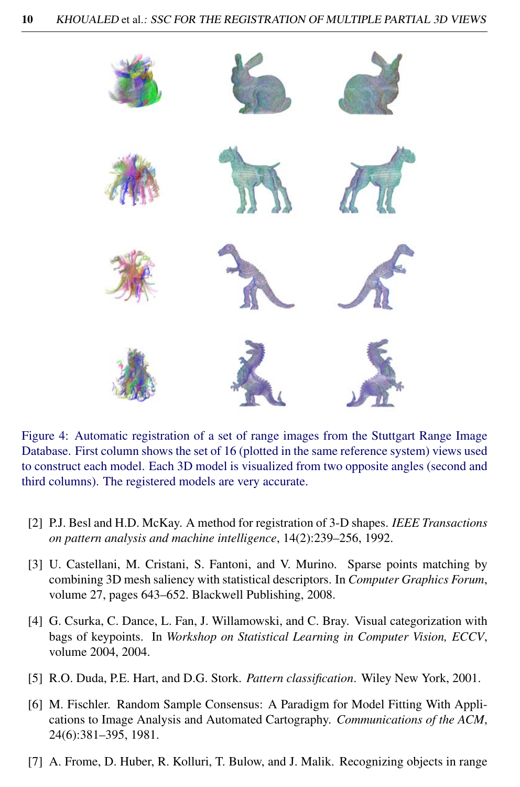

Figure 4: Automatic registration of a set of range images from the Stuttgart Range Image Database. First column shows the set of 16 (plotted in the same reference system) views used to construct each model. Each 3D model is visualized from two opposite angles (second and third columns). The registered models are very accurate.

- <span id="page-9-0"></span>[2] P.J. Besl and H.D. McKay. A method for registration of 3-D shapes. *IEEE Transactions on pattern analysis and machine intelligence*, 14(2):239–256, 1992.
- [3] U. Castellani, M. Cristani, S. Fantoni, and V. Murino. Sparse points matching by combining 3D mesh saliency with statistical descriptors. In *Computer Graphics Forum*, volume 27, pages 643–652. Blackwell Publishing, 2008.
- [4] G. Csurka, C. Dance, L. Fan, J. Willamowski, and C. Bray. Visual categorization with bags of keypoints. In *Workshop on Statistical Learning in Computer Vision, ECCV*, volume 2004, 2004.
- [5] R.O. Duda, P.E. Hart, and D.G. Stork. *Pattern classification*. Wiley New York, 2001.
- [6] M. Fischler. Random Sample Consensus: A Paradigm for Model Fitting With Applications to Image Analysis and Automated Cartography. *Communications of the ACM*, 24(6):381–395, 1981.
- [7] A. Frome, D. Huber, R. Kolluri, T. Bulow, and J. Malik. Recognizing objects in range